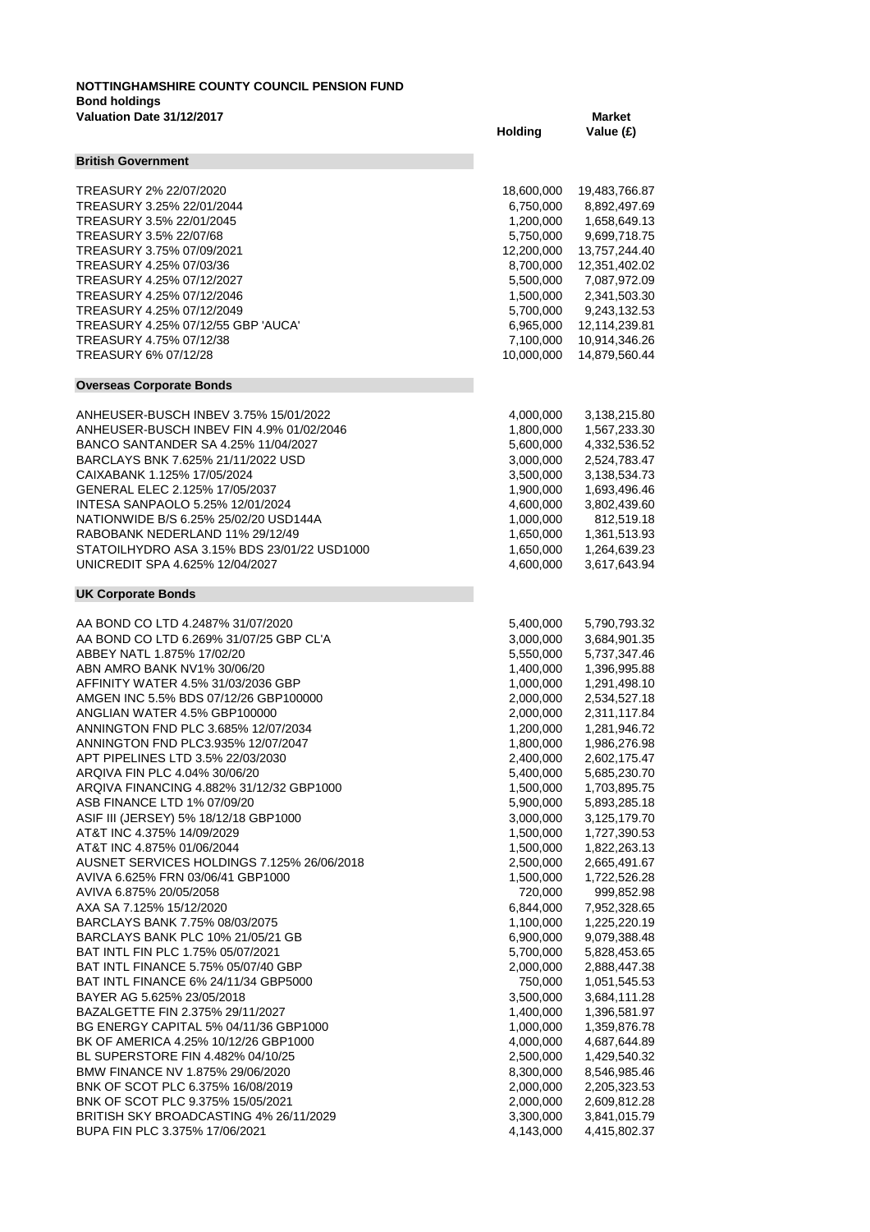## **NOTTINGHAMSHIRE COUNTY COUNCIL PENSION FUND Bond holdings Valuation Date 31/12/2017 Market**

|                                             | Holding    | Value (£)     |
|---------------------------------------------|------------|---------------|
| <b>British Government</b>                   |            |               |
| TREASURY 2% 22/07/2020                      | 18,600,000 | 19,483,766.87 |
| TREASURY 3.25% 22/01/2044                   | 6,750,000  | 8,892,497.69  |
| TREASURY 3.5% 22/01/2045                    | 1,200,000  | 1,658,649.13  |
| TREASURY 3.5% 22/07/68                      | 5,750,000  | 9,699,718.75  |
| TREASURY 3.75% 07/09/2021                   | 12,200,000 | 13,757,244.40 |
| TREASURY 4.25% 07/03/36                     | 8,700,000  | 12,351,402.02 |
| TREASURY 4.25% 07/12/2027                   | 5,500,000  | 7,087,972.09  |
| TREASURY 4.25% 07/12/2046                   | 1,500,000  | 2,341,503.30  |
| TREASURY 4.25% 07/12/2049                   | 5,700,000  | 9,243,132.53  |
| TREASURY 4.25% 07/12/55 GBP 'AUCA'          | 6,965,000  | 12,114,239.81 |
| TREASURY 4.75% 07/12/38                     | 7,100,000  | 10,914,346.26 |
| TREASURY 6% 07/12/28                        | 10,000,000 | 14,879,560.44 |
| <b>Overseas Corporate Bonds</b>             |            |               |
| ANHEUSER-BUSCH INBEV 3.75% 15/01/2022       | 4,000,000  | 3,138,215.80  |
| ANHEUSER-BUSCH INBEV FIN 4.9% 01/02/2046    | 1,800,000  | 1,567,233.30  |
| BANCO SANTANDER SA 4.25% 11/04/2027         | 5,600,000  | 4,332,536.52  |
| BARCLAYS BNK 7.625% 21/11/2022 USD          | 3,000,000  | 2,524,783.47  |
| CAIXABANK 1.125% 17/05/2024                 | 3,500,000  | 3,138,534.73  |
| GENERAL ELEC 2.125% 17/05/2037              | 1,900,000  | 1,693,496.46  |
| INTESA SANPAOLO 5.25% 12/01/2024            | 4,600,000  | 3,802,439.60  |
| NATIONWIDE B/S 6.25% 25/02/20 USD144A       | 1,000,000  | 812,519.18    |
| RABOBANK NEDERLAND 11% 29/12/49             | 1,650,000  | 1,361,513.93  |
| STATOILHYDRO ASA 3.15% BDS 23/01/22 USD1000 | 1,650,000  | 1,264,639.23  |
| UNICREDIT SPA 4.625% 12/04/2027             | 4,600,000  | 3,617,643.94  |
| <b>UK Corporate Bonds</b>                   |            |               |
| AA BOND CO LTD 4.2487% 31/07/2020           | 5,400,000  | 5,790,793.32  |
| AA BOND CO LTD 6.269% 31/07/25 GBP CL'A     | 3,000,000  | 3,684,901.35  |
| ABBEY NATL 1.875% 17/02/20                  | 5,550,000  | 5,737,347.46  |
| ABN AMRO BANK NV1% 30/06/20                 | 1,400,000  | 1,396,995.88  |
| AFFINITY WATER 4.5% 31/03/2036 GBP          |            | 1,291,498.10  |
|                                             | 1,000,000  |               |
| AMGEN INC 5.5% BDS 07/12/26 GBP100000       | 2,000,000  | 2,534,527.18  |
| ANGLIAN WATER 4.5% GBP100000                | 2,000,000  | 2,311,117.84  |
| ANNINGTON FND PLC 3.685% 12/07/2034         | 1,200,000  | 1,281,946.72  |
| ANNINGTON FND PLC3.935% 12/07/2047          | 1,800,000  | 1,986,276.98  |
| APT PIPELINES LTD 3.5% 22/03/2030           | 2,400,000  | 2,602,175.47  |
| ARQIVA FIN PLC 4.04% 30/06/20               | 5,400,000  | 5,685,230.70  |
| ARQIVA FINANCING 4.882% 31/12/32 GBP1000    | 1,500,000  | 1,703,895.75  |
| ASB FINANCE LTD 1% 07/09/20                 | 5,900,000  | 5,893,285.18  |
| ASIF III (JERSEY) 5% 18/12/18 GBP1000       | 3,000,000  | 3,125,179.70  |
| AT&T INC 4.375% 14/09/2029                  | 1,500,000  | 1,727,390.53  |
| AT&T INC 4.875% 01/06/2044                  | 1,500,000  | 1,822,263.13  |
| AUSNET SERVICES HOLDINGS 7.125% 26/06/2018  | 2,500,000  | 2,665,491.67  |
| AVIVA 6.625% FRN 03/06/41 GBP1000           | 1,500,000  | 1,722,526.28  |
| AVIVA 6.875% 20/05/2058                     | 720,000    | 999,852.98    |
| AXA SA 7.125% 15/12/2020                    | 6,844,000  | 7,952,328.65  |
| BARCLAYS BANK 7.75% 08/03/2075              | 1,100,000  | 1,225,220.19  |
| BARCLAYS BANK PLC 10% 21/05/21 GB           | 6,900,000  | 9,079,388.48  |
| BAT INTL FIN PLC 1.75% 05/07/2021           | 5,700,000  | 5,828,453.65  |
| <b>BAT INTL FINANCE 5.75% 05/07/40 GBP</b>  | 2,000,000  | 2,888,447.38  |
| BAT INTL FINANCE 6% 24/11/34 GBP5000        | 750,000    | 1,051,545.53  |
| BAYER AG 5.625% 23/05/2018                  | 3,500,000  | 3,684,111.28  |
| BAZALGETTE FIN 2.375% 29/11/2027            | 1,400,000  | 1,396,581.97  |
| BG ENERGY CAPITAL 5% 04/11/36 GBP1000       | 1,000,000  | 1,359,876.78  |
| BK OF AMERICA 4.25% 10/12/26 GBP1000        | 4,000,000  | 4,687,644.89  |
| BL SUPERSTORE FIN 4.482% 04/10/25           | 2,500,000  | 1,429,540.32  |
| BMW FINANCE NV 1.875% 29/06/2020            | 8,300,000  | 8,546,985.46  |
| BNK OF SCOT PLC 6.375% 16/08/2019           | 2,000,000  | 2,205,323.53  |
| BNK OF SCOT PLC 9.375% 15/05/2021           | 2,000,000  | 2,609,812.28  |
| BRITISH SKY BROADCASTING 4% 26/11/2029      | 3,300,000  | 3,841,015.79  |
| BUPA FIN PLC 3.375% 17/06/2021              | 4,143,000  | 4,415,802.37  |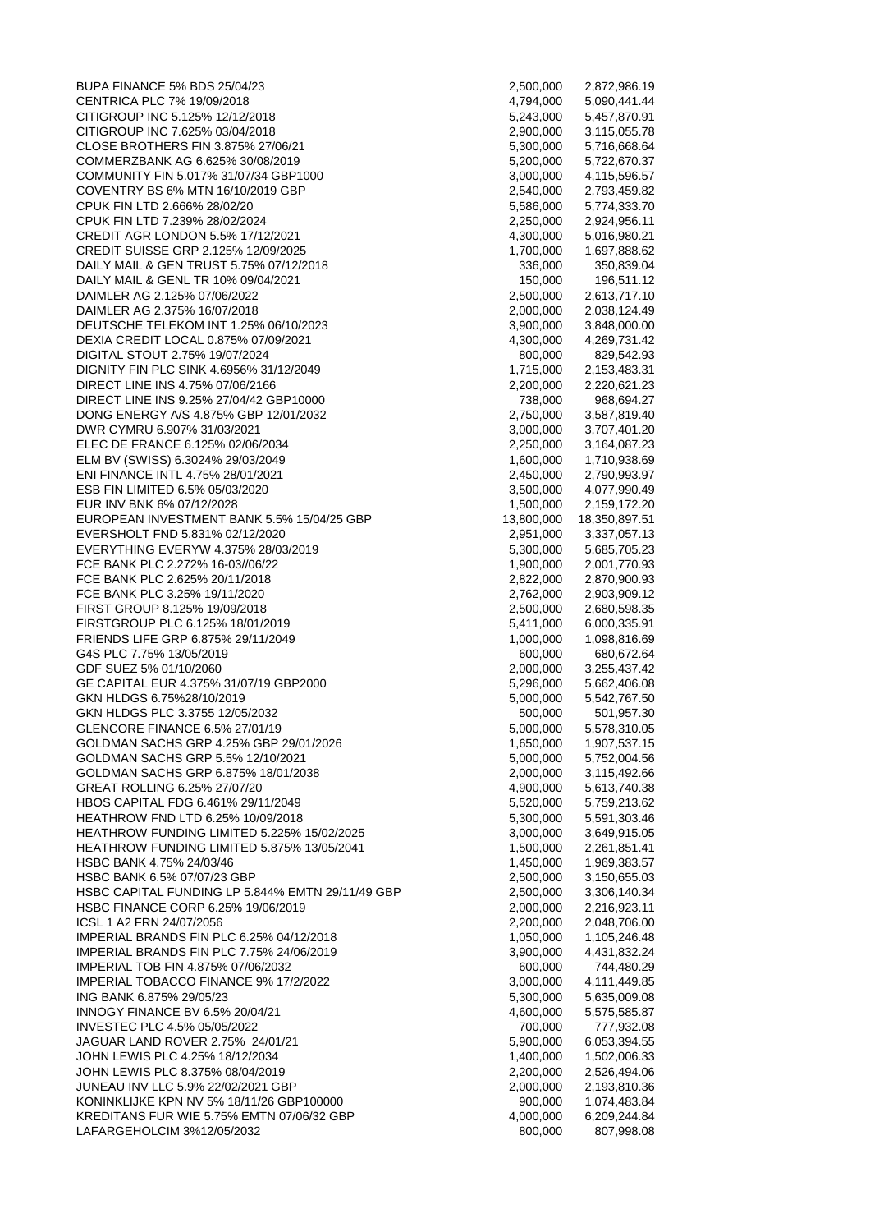BUPA FINANCE 5% BDS 25/04/23 CENTRICA PLC 7% 19/09/2018 CITIGROUP INC 5.125% 12/12/2018 CITIGROUP INC 7.625% 03/04/2018 CLOSE BROTHERS FIN 3.875% 27/06/21 COMMERZBANK AG 6.625% 30/08/2019 COMMUNITY FIN 5.017% 31/07/34 GBP1000 COVENTRY BS 6% MTN 16/10/2019 GBP CPUK FIN LTD 2.666% 28/02/20 CPUK FIN LTD 7.239% 28/02/2024 CREDIT AGR LONDON 5.5% 17/12/2021 CREDIT SUISSE GRP 2.125% 12/09/2025 DAILY MAIL & GEN TRUST 5.75% 07/12/2018 DAILY MAIL & GENL TR 10% 09/04/2021 DAIMLER AG 2.125% 07/06/2022 DAIMLER AG 2.375% 16/07/2018 DEUTSCHE TELEKOM INT 1.25% 06/10/2023 DEXIA CREDIT LOCAL 0.875% 07/09/2021 DIGITAL STOUT 2.75% 19/07/2024 DIGNITY FIN PLC SINK 4.6956% 31/12/2049 DIRECT LINE INS 4.75% 07/06/2166 DIRECT LINE INS 9.25% 27/04/42 GBP10000 DONG ENERGY A/S 4.875% GBP 12/01/2032 DWR CYMRU 6.907% 31/03/2021 ELEC DE FRANCE 6.125% 02/06/2034 ELM BV (SWISS) 6.3024% 29/03/2049 ENI FINANCE INTL 4.75% 28/01/2021 ESB FIN LIMITED 6.5% 05/03/2020 EUR INV BNK 6% 07/12/2028 EUROPEAN INVESTMENT BANK 5.5% 15/04/25 GBP EVERSHOLT FND 5.831% 02/12/2020 EVERYTHING EVERYW 4.375% 28/03/2019 FCE BANK PLC 2.272% 16-03//06/22 FCE BANK PLC 2.625% 20/11/2018 FCE BANK PLC 3.25% 19/11/2020 FIRST GROUP 8.125% 19/09/2018 FIRSTGROUP PLC 6.125% 18/01/2019 FRIENDS LIFE GRP 6.875% 29/11/2049 G4S PLC 7.75% 13/05/2019 GDF SUEZ 5% 01/10/2060 GE CAPITAL EUR 4.375% 31/07/19 GBP2000 GKN HLDGS 6.75%28/10/2019 GKN HLDGS PLC 3.3755 12/05/2032 GLENCORE FINANCE 6.5% 27/01/19 GOLDMAN SACHS GRP 4.25% GBP 29/01/2026 GOLDMAN SACHS GRP 5.5% 12/10/2021 GOLDMAN SACHS GRP 6.875% 18/01/2038 GREAT ROLLING 6.25% 27/07/20 HBOS CAPITAL FDG 6.461% 29/11/2049 HEATHROW FND LTD 6.25% 10/09/2018 HEATHROW FUNDING LIMITED 5.225% 15/02/2025 HEATHROW FUNDING LIMITED 5.875% 13/05/2041 HSBC BANK 4.75% 24/03/46 HSBC BANK 6.5% 07/07/23 GBP HSBC CAPITAL FUNDING LP 5.844% EMTN 29/11/49 GBP HSBC FINANCE CORP 6.25% 19/06/2019 ICSL 1 A2 FRN 24/07/2056 IMPERIAL BRANDS FIN PLC 6.25% 04/12/2018 IMPERIAL BRANDS FIN PLC 7.75% 24/06/2019 IMPERIAL TOB FIN 4.875% 07/06/2032 IMPERIAL TOBACCO FINANCE 9% 17/2/2022 ING BANK 6.875% 29/05/23 INNOGY FINANCE BV 6.5% 20/04/21 INVESTEC PLC 4.5% 05/05/2022 JAGUAR LAND ROVER 2.75% 24/01/21 JOHN LEWIS PLC 4.25% 18/12/2034 JOHN LEWIS PLC 8.375% 08/04/2019 JUNEAU INV LLC 5.9% 22/02/2021 GBP KONINKLIJKE KPN NV 5% 18/11/26 GBP100000 KREDITANS FUR WIE 5.75% EMTN 07/06/32 GBP LAFARGEHOLCIM 3%12/05/2032

| 4,794,000<br>5,243,000<br>5,457,870.91<br>2,900,000<br>3,115,055.78<br>5,716,668.64<br>5,300,000<br>5,722,670.37<br>5,200,000<br>4,115,596.57<br>3,000,000<br>2,540,000<br>2,793,459.82<br>5,774,333.70<br>5,586,000<br>2,250,000<br>2,924,956.11<br>4,300,000<br>5,016,980.21<br>1,700,000<br>1,697,888.62<br>336,000<br>350,839.04<br>196,511.12<br>150,000<br>2,613,717.10<br>2,500,000<br>2,038,124.49<br>2,000,000<br>3,848,000.00<br>3,900,000<br>4,300,000<br>4,269,731.42<br>800,000<br>829,542.93<br>1,715,000<br>2,153,483.31<br>2,200,000<br>2,220,621.23<br>968,694.27<br>738,000<br>3,587,819.40<br>2,750,000<br>3,707,401.20<br>3.000.000<br>2,250,000<br>3,164,087.23<br>1,600,000<br>1,710,938.69<br>2,450,000<br>3,500,000<br>4,077,990.49<br>1,500,000<br>13,800,000<br>2,951,000<br>3,337,057.13<br>5,300,000<br>1,900,000<br>2,822,000<br>2,762,000<br>2,500,000<br>5,411,000<br>1,000,000<br>600,000<br>2,000,000<br>5,296,000<br>5,542,767.50<br>5,000,000<br>501,957.30<br>500,000<br>5,578,310.05<br>5,000,000<br>1,650,000<br>5,752,004.56<br>5,000,000<br>3,115,492.66<br>2,000,000<br>5,613,740.38<br>4,900,000<br>5,520,000<br>5,759,213.62<br>5,591,303.46<br>5,300,000<br>3,649,915.05<br>3,000,000<br>1,500,000<br>2,261,851.41<br>1,969,383.57<br>1,450,000<br>3,150,655.03<br>2,500,000<br>3,306,140.34<br>2,500,000<br>2,000,000<br>2,216,923.11<br>2,048,706.00<br>2,200,000<br>1,050,000<br>1,105,246.48<br>4,431,832.24<br>3,900,000<br>744,480.29<br>600,000<br>4,111,449.85<br>3,000,000<br>5,300,000<br>5,635,009.08<br>5,575,585.87<br>4,600,000<br>700,000<br>5,900,000<br>1,400,000<br>2,200,000<br>2,000,000<br>900,000<br>4,000,000<br>800,000 | 2,500,000 | 2,872,986.19  |
|---------------------------------------------------------------------------------------------------------------------------------------------------------------------------------------------------------------------------------------------------------------------------------------------------------------------------------------------------------------------------------------------------------------------------------------------------------------------------------------------------------------------------------------------------------------------------------------------------------------------------------------------------------------------------------------------------------------------------------------------------------------------------------------------------------------------------------------------------------------------------------------------------------------------------------------------------------------------------------------------------------------------------------------------------------------------------------------------------------------------------------------------------------------------------------------------------------------------------------------------------------------------------------------------------------------------------------------------------------------------------------------------------------------------------------------------------------------------------------------------------------------------------------------------------------------------------------------------------------------------------------------------------------------------------------------------|-----------|---------------|
|                                                                                                                                                                                                                                                                                                                                                                                                                                                                                                                                                                                                                                                                                                                                                                                                                                                                                                                                                                                                                                                                                                                                                                                                                                                                                                                                                                                                                                                                                                                                                                                                                                                                                             |           | 5,090,441.44  |
|                                                                                                                                                                                                                                                                                                                                                                                                                                                                                                                                                                                                                                                                                                                                                                                                                                                                                                                                                                                                                                                                                                                                                                                                                                                                                                                                                                                                                                                                                                                                                                                                                                                                                             |           |               |
|                                                                                                                                                                                                                                                                                                                                                                                                                                                                                                                                                                                                                                                                                                                                                                                                                                                                                                                                                                                                                                                                                                                                                                                                                                                                                                                                                                                                                                                                                                                                                                                                                                                                                             |           |               |
|                                                                                                                                                                                                                                                                                                                                                                                                                                                                                                                                                                                                                                                                                                                                                                                                                                                                                                                                                                                                                                                                                                                                                                                                                                                                                                                                                                                                                                                                                                                                                                                                                                                                                             |           |               |
|                                                                                                                                                                                                                                                                                                                                                                                                                                                                                                                                                                                                                                                                                                                                                                                                                                                                                                                                                                                                                                                                                                                                                                                                                                                                                                                                                                                                                                                                                                                                                                                                                                                                                             |           |               |
|                                                                                                                                                                                                                                                                                                                                                                                                                                                                                                                                                                                                                                                                                                                                                                                                                                                                                                                                                                                                                                                                                                                                                                                                                                                                                                                                                                                                                                                                                                                                                                                                                                                                                             |           |               |
|                                                                                                                                                                                                                                                                                                                                                                                                                                                                                                                                                                                                                                                                                                                                                                                                                                                                                                                                                                                                                                                                                                                                                                                                                                                                                                                                                                                                                                                                                                                                                                                                                                                                                             |           |               |
|                                                                                                                                                                                                                                                                                                                                                                                                                                                                                                                                                                                                                                                                                                                                                                                                                                                                                                                                                                                                                                                                                                                                                                                                                                                                                                                                                                                                                                                                                                                                                                                                                                                                                             |           |               |
|                                                                                                                                                                                                                                                                                                                                                                                                                                                                                                                                                                                                                                                                                                                                                                                                                                                                                                                                                                                                                                                                                                                                                                                                                                                                                                                                                                                                                                                                                                                                                                                                                                                                                             |           |               |
|                                                                                                                                                                                                                                                                                                                                                                                                                                                                                                                                                                                                                                                                                                                                                                                                                                                                                                                                                                                                                                                                                                                                                                                                                                                                                                                                                                                                                                                                                                                                                                                                                                                                                             |           |               |
|                                                                                                                                                                                                                                                                                                                                                                                                                                                                                                                                                                                                                                                                                                                                                                                                                                                                                                                                                                                                                                                                                                                                                                                                                                                                                                                                                                                                                                                                                                                                                                                                                                                                                             |           |               |
|                                                                                                                                                                                                                                                                                                                                                                                                                                                                                                                                                                                                                                                                                                                                                                                                                                                                                                                                                                                                                                                                                                                                                                                                                                                                                                                                                                                                                                                                                                                                                                                                                                                                                             |           |               |
|                                                                                                                                                                                                                                                                                                                                                                                                                                                                                                                                                                                                                                                                                                                                                                                                                                                                                                                                                                                                                                                                                                                                                                                                                                                                                                                                                                                                                                                                                                                                                                                                                                                                                             |           |               |
|                                                                                                                                                                                                                                                                                                                                                                                                                                                                                                                                                                                                                                                                                                                                                                                                                                                                                                                                                                                                                                                                                                                                                                                                                                                                                                                                                                                                                                                                                                                                                                                                                                                                                             |           |               |
|                                                                                                                                                                                                                                                                                                                                                                                                                                                                                                                                                                                                                                                                                                                                                                                                                                                                                                                                                                                                                                                                                                                                                                                                                                                                                                                                                                                                                                                                                                                                                                                                                                                                                             |           |               |
|                                                                                                                                                                                                                                                                                                                                                                                                                                                                                                                                                                                                                                                                                                                                                                                                                                                                                                                                                                                                                                                                                                                                                                                                                                                                                                                                                                                                                                                                                                                                                                                                                                                                                             |           |               |
|                                                                                                                                                                                                                                                                                                                                                                                                                                                                                                                                                                                                                                                                                                                                                                                                                                                                                                                                                                                                                                                                                                                                                                                                                                                                                                                                                                                                                                                                                                                                                                                                                                                                                             |           |               |
|                                                                                                                                                                                                                                                                                                                                                                                                                                                                                                                                                                                                                                                                                                                                                                                                                                                                                                                                                                                                                                                                                                                                                                                                                                                                                                                                                                                                                                                                                                                                                                                                                                                                                             |           |               |
|                                                                                                                                                                                                                                                                                                                                                                                                                                                                                                                                                                                                                                                                                                                                                                                                                                                                                                                                                                                                                                                                                                                                                                                                                                                                                                                                                                                                                                                                                                                                                                                                                                                                                             |           |               |
|                                                                                                                                                                                                                                                                                                                                                                                                                                                                                                                                                                                                                                                                                                                                                                                                                                                                                                                                                                                                                                                                                                                                                                                                                                                                                                                                                                                                                                                                                                                                                                                                                                                                                             |           |               |
|                                                                                                                                                                                                                                                                                                                                                                                                                                                                                                                                                                                                                                                                                                                                                                                                                                                                                                                                                                                                                                                                                                                                                                                                                                                                                                                                                                                                                                                                                                                                                                                                                                                                                             |           |               |
|                                                                                                                                                                                                                                                                                                                                                                                                                                                                                                                                                                                                                                                                                                                                                                                                                                                                                                                                                                                                                                                                                                                                                                                                                                                                                                                                                                                                                                                                                                                                                                                                                                                                                             |           |               |
|                                                                                                                                                                                                                                                                                                                                                                                                                                                                                                                                                                                                                                                                                                                                                                                                                                                                                                                                                                                                                                                                                                                                                                                                                                                                                                                                                                                                                                                                                                                                                                                                                                                                                             |           |               |
|                                                                                                                                                                                                                                                                                                                                                                                                                                                                                                                                                                                                                                                                                                                                                                                                                                                                                                                                                                                                                                                                                                                                                                                                                                                                                                                                                                                                                                                                                                                                                                                                                                                                                             |           |               |
|                                                                                                                                                                                                                                                                                                                                                                                                                                                                                                                                                                                                                                                                                                                                                                                                                                                                                                                                                                                                                                                                                                                                                                                                                                                                                                                                                                                                                                                                                                                                                                                                                                                                                             |           | 2,790,993.97  |
|                                                                                                                                                                                                                                                                                                                                                                                                                                                                                                                                                                                                                                                                                                                                                                                                                                                                                                                                                                                                                                                                                                                                                                                                                                                                                                                                                                                                                                                                                                                                                                                                                                                                                             |           |               |
|                                                                                                                                                                                                                                                                                                                                                                                                                                                                                                                                                                                                                                                                                                                                                                                                                                                                                                                                                                                                                                                                                                                                                                                                                                                                                                                                                                                                                                                                                                                                                                                                                                                                                             |           | 2,159,172.20  |
|                                                                                                                                                                                                                                                                                                                                                                                                                                                                                                                                                                                                                                                                                                                                                                                                                                                                                                                                                                                                                                                                                                                                                                                                                                                                                                                                                                                                                                                                                                                                                                                                                                                                                             |           | 18,350,897.51 |
|                                                                                                                                                                                                                                                                                                                                                                                                                                                                                                                                                                                                                                                                                                                                                                                                                                                                                                                                                                                                                                                                                                                                                                                                                                                                                                                                                                                                                                                                                                                                                                                                                                                                                             |           |               |
|                                                                                                                                                                                                                                                                                                                                                                                                                                                                                                                                                                                                                                                                                                                                                                                                                                                                                                                                                                                                                                                                                                                                                                                                                                                                                                                                                                                                                                                                                                                                                                                                                                                                                             |           | 5,685,705.23  |
|                                                                                                                                                                                                                                                                                                                                                                                                                                                                                                                                                                                                                                                                                                                                                                                                                                                                                                                                                                                                                                                                                                                                                                                                                                                                                                                                                                                                                                                                                                                                                                                                                                                                                             |           | 2,001,770.93  |
|                                                                                                                                                                                                                                                                                                                                                                                                                                                                                                                                                                                                                                                                                                                                                                                                                                                                                                                                                                                                                                                                                                                                                                                                                                                                                                                                                                                                                                                                                                                                                                                                                                                                                             |           | 2,870,900.93  |
|                                                                                                                                                                                                                                                                                                                                                                                                                                                                                                                                                                                                                                                                                                                                                                                                                                                                                                                                                                                                                                                                                                                                                                                                                                                                                                                                                                                                                                                                                                                                                                                                                                                                                             |           | 2,903,909.12  |
|                                                                                                                                                                                                                                                                                                                                                                                                                                                                                                                                                                                                                                                                                                                                                                                                                                                                                                                                                                                                                                                                                                                                                                                                                                                                                                                                                                                                                                                                                                                                                                                                                                                                                             |           | 2,680,598.35  |
|                                                                                                                                                                                                                                                                                                                                                                                                                                                                                                                                                                                                                                                                                                                                                                                                                                                                                                                                                                                                                                                                                                                                                                                                                                                                                                                                                                                                                                                                                                                                                                                                                                                                                             |           | 6,000,335.91  |
|                                                                                                                                                                                                                                                                                                                                                                                                                                                                                                                                                                                                                                                                                                                                                                                                                                                                                                                                                                                                                                                                                                                                                                                                                                                                                                                                                                                                                                                                                                                                                                                                                                                                                             |           | 1,098,816.69  |
|                                                                                                                                                                                                                                                                                                                                                                                                                                                                                                                                                                                                                                                                                                                                                                                                                                                                                                                                                                                                                                                                                                                                                                                                                                                                                                                                                                                                                                                                                                                                                                                                                                                                                             |           | 680.672.64    |
|                                                                                                                                                                                                                                                                                                                                                                                                                                                                                                                                                                                                                                                                                                                                                                                                                                                                                                                                                                                                                                                                                                                                                                                                                                                                                                                                                                                                                                                                                                                                                                                                                                                                                             |           | 3,255,437.42  |
|                                                                                                                                                                                                                                                                                                                                                                                                                                                                                                                                                                                                                                                                                                                                                                                                                                                                                                                                                                                                                                                                                                                                                                                                                                                                                                                                                                                                                                                                                                                                                                                                                                                                                             |           | 5,662,406.08  |
|                                                                                                                                                                                                                                                                                                                                                                                                                                                                                                                                                                                                                                                                                                                                                                                                                                                                                                                                                                                                                                                                                                                                                                                                                                                                                                                                                                                                                                                                                                                                                                                                                                                                                             |           |               |
|                                                                                                                                                                                                                                                                                                                                                                                                                                                                                                                                                                                                                                                                                                                                                                                                                                                                                                                                                                                                                                                                                                                                                                                                                                                                                                                                                                                                                                                                                                                                                                                                                                                                                             |           |               |
|                                                                                                                                                                                                                                                                                                                                                                                                                                                                                                                                                                                                                                                                                                                                                                                                                                                                                                                                                                                                                                                                                                                                                                                                                                                                                                                                                                                                                                                                                                                                                                                                                                                                                             |           |               |
|                                                                                                                                                                                                                                                                                                                                                                                                                                                                                                                                                                                                                                                                                                                                                                                                                                                                                                                                                                                                                                                                                                                                                                                                                                                                                                                                                                                                                                                                                                                                                                                                                                                                                             |           | 1,907,537.15  |
|                                                                                                                                                                                                                                                                                                                                                                                                                                                                                                                                                                                                                                                                                                                                                                                                                                                                                                                                                                                                                                                                                                                                                                                                                                                                                                                                                                                                                                                                                                                                                                                                                                                                                             |           |               |
|                                                                                                                                                                                                                                                                                                                                                                                                                                                                                                                                                                                                                                                                                                                                                                                                                                                                                                                                                                                                                                                                                                                                                                                                                                                                                                                                                                                                                                                                                                                                                                                                                                                                                             |           |               |
|                                                                                                                                                                                                                                                                                                                                                                                                                                                                                                                                                                                                                                                                                                                                                                                                                                                                                                                                                                                                                                                                                                                                                                                                                                                                                                                                                                                                                                                                                                                                                                                                                                                                                             |           |               |
|                                                                                                                                                                                                                                                                                                                                                                                                                                                                                                                                                                                                                                                                                                                                                                                                                                                                                                                                                                                                                                                                                                                                                                                                                                                                                                                                                                                                                                                                                                                                                                                                                                                                                             |           |               |
|                                                                                                                                                                                                                                                                                                                                                                                                                                                                                                                                                                                                                                                                                                                                                                                                                                                                                                                                                                                                                                                                                                                                                                                                                                                                                                                                                                                                                                                                                                                                                                                                                                                                                             |           |               |
|                                                                                                                                                                                                                                                                                                                                                                                                                                                                                                                                                                                                                                                                                                                                                                                                                                                                                                                                                                                                                                                                                                                                                                                                                                                                                                                                                                                                                                                                                                                                                                                                                                                                                             |           |               |
|                                                                                                                                                                                                                                                                                                                                                                                                                                                                                                                                                                                                                                                                                                                                                                                                                                                                                                                                                                                                                                                                                                                                                                                                                                                                                                                                                                                                                                                                                                                                                                                                                                                                                             |           |               |
|                                                                                                                                                                                                                                                                                                                                                                                                                                                                                                                                                                                                                                                                                                                                                                                                                                                                                                                                                                                                                                                                                                                                                                                                                                                                                                                                                                                                                                                                                                                                                                                                                                                                                             |           |               |
|                                                                                                                                                                                                                                                                                                                                                                                                                                                                                                                                                                                                                                                                                                                                                                                                                                                                                                                                                                                                                                                                                                                                                                                                                                                                                                                                                                                                                                                                                                                                                                                                                                                                                             |           |               |
|                                                                                                                                                                                                                                                                                                                                                                                                                                                                                                                                                                                                                                                                                                                                                                                                                                                                                                                                                                                                                                                                                                                                                                                                                                                                                                                                                                                                                                                                                                                                                                                                                                                                                             |           |               |
|                                                                                                                                                                                                                                                                                                                                                                                                                                                                                                                                                                                                                                                                                                                                                                                                                                                                                                                                                                                                                                                                                                                                                                                                                                                                                                                                                                                                                                                                                                                                                                                                                                                                                             |           |               |
|                                                                                                                                                                                                                                                                                                                                                                                                                                                                                                                                                                                                                                                                                                                                                                                                                                                                                                                                                                                                                                                                                                                                                                                                                                                                                                                                                                                                                                                                                                                                                                                                                                                                                             |           |               |
|                                                                                                                                                                                                                                                                                                                                                                                                                                                                                                                                                                                                                                                                                                                                                                                                                                                                                                                                                                                                                                                                                                                                                                                                                                                                                                                                                                                                                                                                                                                                                                                                                                                                                             |           |               |
|                                                                                                                                                                                                                                                                                                                                                                                                                                                                                                                                                                                                                                                                                                                                                                                                                                                                                                                                                                                                                                                                                                                                                                                                                                                                                                                                                                                                                                                                                                                                                                                                                                                                                             |           |               |
|                                                                                                                                                                                                                                                                                                                                                                                                                                                                                                                                                                                                                                                                                                                                                                                                                                                                                                                                                                                                                                                                                                                                                                                                                                                                                                                                                                                                                                                                                                                                                                                                                                                                                             |           |               |
|                                                                                                                                                                                                                                                                                                                                                                                                                                                                                                                                                                                                                                                                                                                                                                                                                                                                                                                                                                                                                                                                                                                                                                                                                                                                                                                                                                                                                                                                                                                                                                                                                                                                                             |           |               |
|                                                                                                                                                                                                                                                                                                                                                                                                                                                                                                                                                                                                                                                                                                                                                                                                                                                                                                                                                                                                                                                                                                                                                                                                                                                                                                                                                                                                                                                                                                                                                                                                                                                                                             |           |               |
|                                                                                                                                                                                                                                                                                                                                                                                                                                                                                                                                                                                                                                                                                                                                                                                                                                                                                                                                                                                                                                                                                                                                                                                                                                                                                                                                                                                                                                                                                                                                                                                                                                                                                             |           | 777,932.08    |
|                                                                                                                                                                                                                                                                                                                                                                                                                                                                                                                                                                                                                                                                                                                                                                                                                                                                                                                                                                                                                                                                                                                                                                                                                                                                                                                                                                                                                                                                                                                                                                                                                                                                                             |           | 6,053,394.55  |
|                                                                                                                                                                                                                                                                                                                                                                                                                                                                                                                                                                                                                                                                                                                                                                                                                                                                                                                                                                                                                                                                                                                                                                                                                                                                                                                                                                                                                                                                                                                                                                                                                                                                                             |           | 1,502,006.33  |
|                                                                                                                                                                                                                                                                                                                                                                                                                                                                                                                                                                                                                                                                                                                                                                                                                                                                                                                                                                                                                                                                                                                                                                                                                                                                                                                                                                                                                                                                                                                                                                                                                                                                                             |           | 2,526,494.06  |
|                                                                                                                                                                                                                                                                                                                                                                                                                                                                                                                                                                                                                                                                                                                                                                                                                                                                                                                                                                                                                                                                                                                                                                                                                                                                                                                                                                                                                                                                                                                                                                                                                                                                                             |           | 2,193,810.36  |
|                                                                                                                                                                                                                                                                                                                                                                                                                                                                                                                                                                                                                                                                                                                                                                                                                                                                                                                                                                                                                                                                                                                                                                                                                                                                                                                                                                                                                                                                                                                                                                                                                                                                                             |           | 1,074,483.84  |
|                                                                                                                                                                                                                                                                                                                                                                                                                                                                                                                                                                                                                                                                                                                                                                                                                                                                                                                                                                                                                                                                                                                                                                                                                                                                                                                                                                                                                                                                                                                                                                                                                                                                                             |           | 6,209,244.84  |
|                                                                                                                                                                                                                                                                                                                                                                                                                                                                                                                                                                                                                                                                                                                                                                                                                                                                                                                                                                                                                                                                                                                                                                                                                                                                                                                                                                                                                                                                                                                                                                                                                                                                                             |           | 807,998.08    |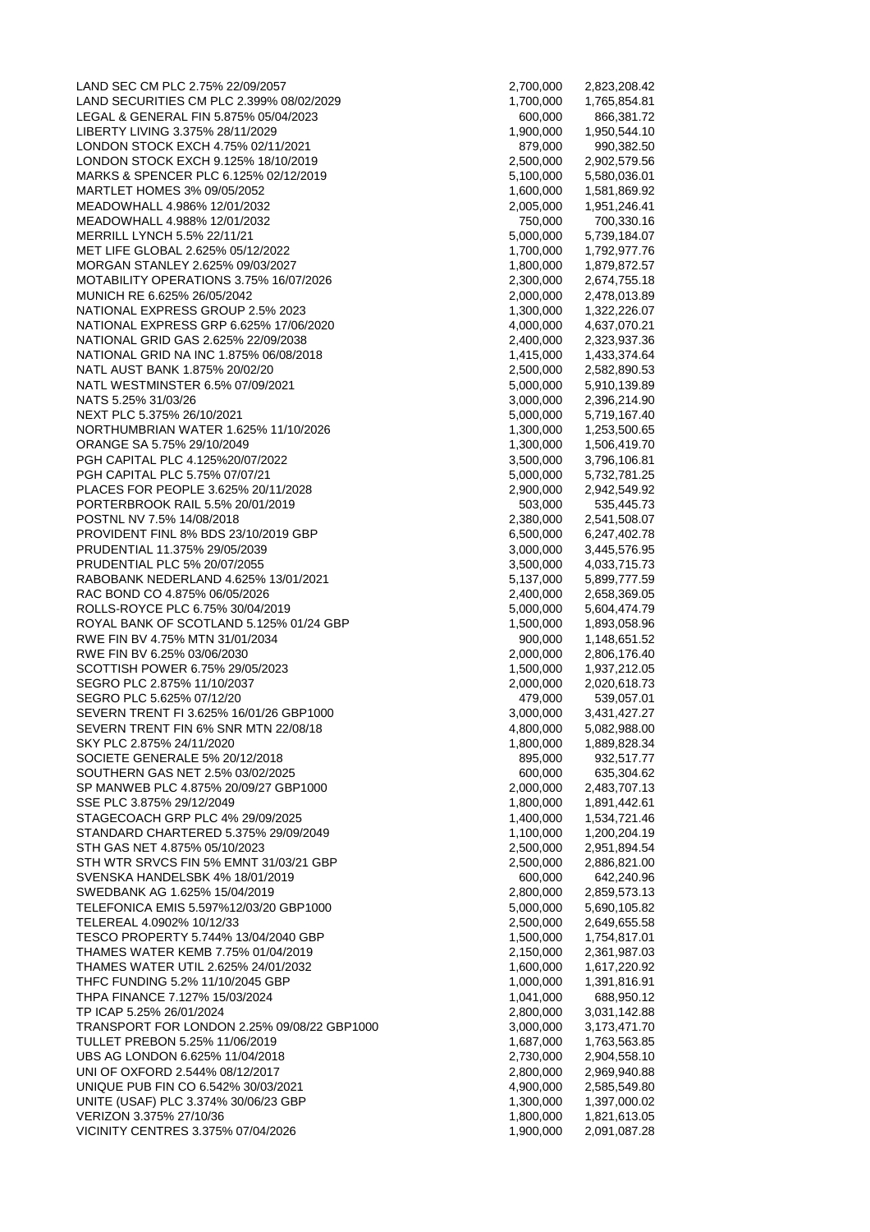LAND SEC CM PLC 2.75% 22/09/2057 LAND SECURITIES CM PLC 2.399% 08/02/2029 LEGAL & GENERAL FIN 5.875% 05/04/2023 LIBERTY LIVING 3.375% 28/11/2029 LONDON STOCK EXCH 4.75% 02/11/2021 LONDON STOCK EXCH 9.125% 18/10/2019 MARKS & SPENCER PLC 6.125% 02/12/2019 MARTLET HOMES 3% 09/05/2052 MEADOWHALL 4.986% 12/01/2032 MEADOWHALL 4.988% 12/01/2032 MERRILL LYNCH 5,5% 22/11/21 MET LIFE GLOBAL 2.625% 05/12/2022 MORGAN STANLEY 2.625% 09/03/2027 MOTABILITY OPERATIONS 3.75% 16/07/2026 MUNICH RE 6.625% 26/05/2042 NATIONAL EXPRESS GROUP 2.5% 2023 NATIONAL EXPRESS GRP 6.625% 17/06/2020 NATIONAL GRID GAS 2.625% 22/09/2038 NATIONAL GRID NA INC 1.875% 06/08/2018 NATL AUST BANK 1.875% 20/02/20 NATL WESTMINSTER 6.5% 07/09/2021 NATS 5.25% 31/03/26 NEXT PLC 5.375% 26/10/2021 NORTHUMBRIAN WATER 1.625% 11/10/2026 ORANGE SA 5.75% 29/10/2049 PGH CAPITAL PLC 4.125%20/07/2022 PGH CAPITAL PLC 5.75% 07/07/21 PLACES FOR PEOPLE 3.625% 20/11/2028 PORTERBROOK RAIL 5.5% 20/01/2019 POSTNL NV 7.5% 14/08/2018 PROVIDENT FINL 8% BDS 23/10/2019 GBP PRUDENTIAL 11.375% 29/05/2039 PRUDENTIAL PLC 5% 20/07/2055 RABOBANK NEDERLAND 4.625% 13/01/2021 RAC BOND CO 4.875% 06/05/2026 ROLLS-ROYCE PLC 6.75% 30/04/2019 ROYAL BANK OF SCOTLAND 5.125% 01/24 GBP RWE FIN BV 4.75% MTN 31/01/2034 RWE FIN BV 6.25% 03/06/2030 SCOTTISH POWER 6.75% 29/05/2023 SEGRO PLC 2.875% 11/10/2037 SEGRO PLC 5.625% 07/12/20 SEVERN TRENT FI 3.625% 16/01/26 GBP1000 SEVERN TRENT FIN 6% SNR MTN 22/08/18 SKY PLC 2.875% 24/11/2020 SOCIETE GENERALE 5% 20/12/2018 SOUTHERN GAS NET 2.5% 03/02/2025 SP MANWEB PLC 4.875% 20/09/27 GBP1000 SSE PLC 3.875% 29/12/2049 STAGECOACH GRP PLC 4% 29/09/2025 STANDARD CHARTERED 5.375% 29/09/2049 STH GAS NET 4.875% 05/10/2023 STH WTR SRVCS FIN 5% EMNT 31/03/21 GBP SVENSKA HANDELSBK 4% 18/01/2019 SWEDBANK AG 1.625% 15/04/2019 TELEFONICA EMIS 5.597%12/03/20 GBP1000 TELEREAL 4.0902% 10/12/33 TESCO PROPERTY 5.744% 13/04/2040 GBP THAMES WATER KEMB 7.75% 01/04/2019 THAMES WATER UTIL 2.625% 24/01/2032 THFC FUNDING 5.2% 11/10/2045 GBP THPA FINANCE 7.127% 15/03/2024 TP ICAP 5.25% 26/01/2024 TRANSPORT FOR LONDON 2.25% 09/08/22 GBP1000 TULLET PREBON 5.25% 11/06/2019 UBS AG LONDON 6.625% 11/04/2018 UNI OF OXFORD 2.544% 08/12/2017 UNIQUE PUB FIN CO 6.542% 30/03/2021 UNITE (USAF) PLC 3.374% 30/06/23 GBP VERIZON 3.375% 27/10/36 VICINITY CENTRES 3.375% 07/04/2026

| 2,700,000              | 2,823,208.42                 |
|------------------------|------------------------------|
| 1,700,000              | 1,765,854.81                 |
| 600,000                | 866,381.72                   |
| 1,900,000              | 1,950,544.10                 |
| 879,000                | 990,382.50                   |
| 2,500,000              | 2,902,579.56                 |
| 5,100,000<br>1,600,000 | 5,580,036.01<br>1,581,869.92 |
| 2,005,000              | 1,951,246.41                 |
| 750,000                | 700,330.16                   |
| 5,000,000              | 5,739,184.07                 |
| 1,700,000              | 1,792,977.76                 |
| 1,800,000              | 1,879,872.57                 |
| 2,300,000              | 2,674,755.18                 |
| 2,000,000              | 2,478,013.89                 |
| 1,300,000              | 1,322,226.07                 |
| 4,000,000              | 4,637,070.21                 |
| 2,400,000              | 2,323,937.36                 |
| 1,415,000              | 1,433,374.64                 |
| 2,500,000              | 2,582,890.53                 |
| 5,000,000              | 5,910,139.89                 |
| 3,000,000              | 2,396,214.90                 |
| 5,000,000              | 5,719,167.40<br>1,253,500.65 |
| 1,300,000<br>1,300,000 | 1,506,419.70                 |
| 3,500,000              | 3,796,106.81                 |
| 5,000,000              | 5,732,781.25                 |
| 2,900,000              | 2,942,549.92                 |
| 503,000                | 535,445.73                   |
| 2,380,000              | 2,541,508.07                 |
| 6,500,000              | 6,247,402.78                 |
| 3,000,000              | 3,445,576.95                 |
| 3,500,000              | 4,033,715.73                 |
| 5,137,000              | 5,899,777.59                 |
| 2,400,000              | 2,658,369.05                 |
| 5,000,000              | 5,604,474.79                 |
| 1,500,000              | 1,893,058.96                 |
| 900,000                | 1,148,651.52                 |
| 2,000,000<br>1,500,000 | 2,806,176.40<br>1,937,212.05 |
| 2,000,000              | 2,020,618.73                 |
| 479,000                | 539,057.01                   |
| 3,000,000              | 3,431,427.27                 |
| 4,800,000              | 5,082,988.00                 |
| 1,800,000              | 1,889,828.34                 |
| 895,000                | 932,517.77                   |
| 600,000                | 635,304.62                   |
| 2,000,000              | 2,483,707.13                 |
| 1,800,000              | 1,891,442.61                 |
| 1,400,000              | 1,534,721.46                 |
| 1,100,000              | 1,200,204.19<br>2,951,894.54 |
| 2,500,000<br>2,500,000 | 2,886,821.00                 |
| 600,000                | 642,240.96                   |
| 2,800,000              | 2,859,573.13                 |
| 5,000,000              | 5,690,105.82                 |
| 2,500,000              | 2,649,655.58                 |
| 1,500,000              | 1,754,817.01                 |
| 2,150,000              | 2,361,987.03                 |
| 1,600,000              | 1,617,220.92                 |
| 1,000,000              | 1,391,816.91                 |
| 1,041,000              | 688,950.12                   |
| 2,800,000              | 3,031,142.88                 |
| 3,000,000              | 3,173,471.70                 |
| 1,687,000              | 1,763,563.85                 |
| 2,730,000              | 2,904,558.10                 |
| 2,800,000<br>4,900,000 | 2,969,940.88<br>2,585,549.80 |
| 1,300,000              | 1,397,000.02                 |
| 1,800,000              | 1,821,613.05                 |
| 1,900,000              | 2,091,087.28                 |